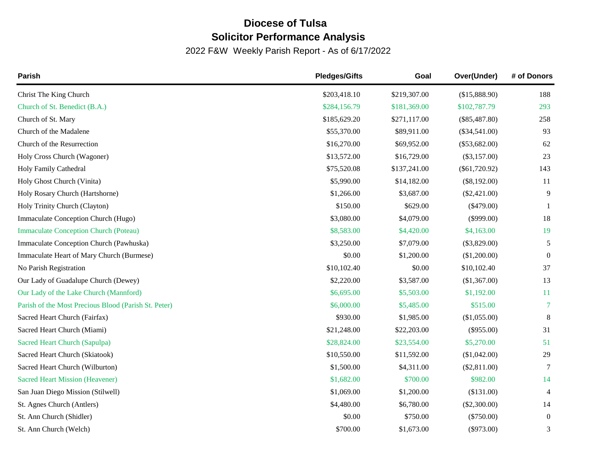## **Diocese of Tulsa Solicitor Performance Analysis**

2022 F&W Weekly Parish Report - As of 6/17/2022

| Parish                                               | <b>Pledges/Gifts</b> | Goal         | Over(Under)     | # of Donors    |
|------------------------------------------------------|----------------------|--------------|-----------------|----------------|
| Christ The King Church                               | \$203,418.10         | \$219,307.00 | (\$15,888.90)   | 188            |
| Church of St. Benedict (B.A.)                        | \$284,156.79         | \$181,369.00 | \$102,787.79    | 293            |
| Church of St. Mary                                   | \$185,629.20         | \$271,117.00 | $(\$85,487.80)$ | 258            |
| Church of the Madalene                               | \$55,370.00          | \$89,911.00  | $(\$34,541.00)$ | 93             |
| Church of the Resurrection                           | \$16,270.00          | \$69,952.00  | $(\$53,682.00)$ | 62             |
| Holy Cross Church (Wagoner)                          | \$13,572.00          | \$16,729.00  | $(\$3,157.00)$  | 23             |
| Holy Family Cathedral                                | \$75,520.08          | \$137,241.00 | $(\$61,720.92)$ | 143            |
| Holy Ghost Church (Vinita)                           | \$5,990.00           | \$14,182.00  | $(\$8,192.00)$  | 11             |
| Holy Rosary Church (Hartshorne)                      | \$1,266.00           | \$3,687.00   | $(\$2,421.00)$  | 9              |
| Holy Trinity Church (Clayton)                        | \$150.00             | \$629.00     | $(\$479.00)$    |                |
| Immaculate Conception Church (Hugo)                  | \$3,080.00           | \$4,079.00   | $(\$999.00)$    | 18             |
| <b>Immaculate Conception Church (Poteau)</b>         | \$8,583.00           | \$4,420.00   | \$4,163.00      | 19             |
| Immaculate Conception Church (Pawhuska)              | \$3,250.00           | \$7,079.00   | $(\$3,829.00)$  | 5              |
| Immaculate Heart of Mary Church (Burmese)            | \$0.00               | \$1,200.00   | (\$1,200.00)    | $\overline{0}$ |
| No Parish Registration                               | \$10,102.40          | \$0.00       | \$10,102.40     | 37             |
| Our Lady of Guadalupe Church (Dewey)                 | \$2,220.00           | \$3,587.00   | (\$1,367.00)    | 13             |
| Our Lady of the Lake Church (Mannford)               | \$6,695.00           | \$5,503.00   | \$1,192.00      | 11             |
| Parish of the Most Precious Blood (Parish St. Peter) | \$6,000.00           | \$5,485.00   | \$515.00        | 7              |
| Sacred Heart Church (Fairfax)                        | \$930.00             | \$1,985.00   | (\$1,055.00)    | $\,8\,$        |
| Sacred Heart Church (Miami)                          | \$21,248.00          | \$22,203.00  | $(\$955.00)$    | 31             |
| Sacred Heart Church (Sapulpa)                        | \$28,824.00          | \$23,554.00  | \$5,270.00      | 51             |
| Sacred Heart Church (Skiatook)                       | \$10,550.00          | \$11,592.00  | (\$1,042.00)    | 29             |
| Sacred Heart Church (Wilburton)                      | \$1,500.00           | \$4,311.00   | (\$2,811.00)    | 7              |
| <b>Sacred Heart Mission (Heavener)</b>               | \$1,682.00           | \$700.00     | \$982.00        | 14             |
| San Juan Diego Mission (Stilwell)                    | \$1,069.00           | \$1,200.00   | (\$131.00)      | $\overline{4}$ |
| St. Agnes Church (Antlers)                           | \$4,480.00           | \$6,780.00   | $(\$2,300.00)$  | 14             |
| St. Ann Church (Shidler)                             | \$0.00               | \$750.00     | $(\$750.00)$    | $\overline{0}$ |
| St. Ann Church (Welch)                               | \$700.00             | \$1,673.00   | $(\$973.00)$    | 3              |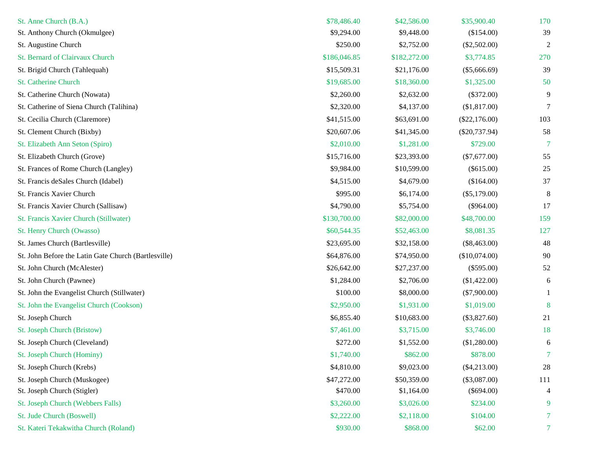| St. Anne Church (B.A.)                               | \$78,486.40  | \$42,586.00  | \$35,900.40     | 170            |
|------------------------------------------------------|--------------|--------------|-----------------|----------------|
| St. Anthony Church (Okmulgee)                        | \$9,294.00   | \$9,448.00   | (\$154.00)      | 39             |
| St. Augustine Church                                 | \$250.00     | \$2,752.00   | $(\$2,502.00)$  | $\overline{c}$ |
| St. Bernard of Clairvaux Church                      | \$186,046.85 | \$182,272.00 | \$3,774.85      | 270            |
| St. Brigid Church (Tahlequah)                        | \$15,509.31  | \$21,176.00  | $(\$5,666.69)$  | 39             |
| St. Catherine Church                                 | \$19,685.00  | \$18,360.00  | \$1,325.00      | 50             |
| St. Catherine Church (Nowata)                        | \$2,260.00   | \$2,632.00   | $(\$372.00)$    | 9              |
| St. Catherine of Siena Church (Talihina)             | \$2,320.00   | \$4,137.00   | (\$1,817.00)    | 7              |
| St. Cecilia Church (Claremore)                       | \$41,515.00  | \$63,691.00  | $(\$22,176.00)$ | 103            |
| St. Clement Church (Bixby)                           | \$20,607.06  | \$41,345.00  | $(\$20,737.94)$ | 58             |
| St. Elizabeth Ann Seton (Spiro)                      | \$2,010.00   | \$1,281.00   | \$729.00        | 7              |
| St. Elizabeth Church (Grove)                         | \$15,716.00  | \$23,393.00  | $(\$7,677.00)$  | 55             |
| St. Frances of Rome Church (Langley)                 | \$9,984.00   | \$10,599.00  | $(\$615.00)$    | $25\,$         |
| St. Francis deSales Church (Idabel)                  | \$4,515.00   | \$4,679.00   | (\$164.00)      | 37             |
| St. Francis Xavier Church                            | \$995.00     | \$6,174.00   | $(\$5,179.00)$  | 8              |
| St. Francis Xavier Church (Sallisaw)                 | \$4,790.00   | \$5,754.00   | $(\$964.00)$    | 17             |
| St. Francis Xavier Church (Stillwater)               | \$130,700.00 | \$82,000.00  | \$48,700.00     | 159            |
| St. Henry Church (Owasso)                            | \$60,544.35  | \$52,463.00  | \$8,081.35      | 127            |
| St. James Church (Bartlesville)                      | \$23,695.00  | \$32,158.00  | $(\$8,463.00)$  | 48             |
| St. John Before the Latin Gate Church (Bartlesville) | \$64,876.00  | \$74,950.00  | (\$10,074.00)   | 90             |
| St. John Church (McAlester)                          | \$26,642.00  | \$27,237.00  | $(\$595.00)$    | 52             |
| St. John Church (Pawnee)                             | \$1,284.00   | \$2,706.00   | (\$1,422.00)    | 6              |
| St. John the Evangelist Church (Stillwater)          | \$100.00     | \$8,000.00   | $(\$7,900.00)$  |                |
| St. John the Evangelist Church (Cookson)             | \$2,950.00   | \$1,931.00   | \$1,019.00      | 8              |
| St. Joseph Church                                    | \$6,855.40   | \$10,683.00  | $(\$3,827.60)$  | 21             |
| St. Joseph Church (Bristow)                          | \$7,461.00   | \$3,715.00   | \$3,746.00      | 18             |
| St. Joseph Church (Cleveland)                        | \$272.00     | \$1,552.00   | (\$1,280.00)    | 6              |
| St. Joseph Church (Hominy)                           | \$1,740.00   | \$862.00     | \$878.00        | 7              |
| St. Joseph Church (Krebs)                            | \$4,810.00   | \$9,023.00   | $(\$4,213.00)$  | 28             |
| St. Joseph Church (Muskogee)                         | \$47,272.00  | \$50,359.00  | $(\$3,087.00)$  | 111            |
| St. Joseph Church (Stigler)                          | \$470.00     | \$1,164.00   | $(\$694.00)$    | 4              |
| St. Joseph Church (Webbers Falls)                    | \$3,260.00   | \$3,026.00   | \$234.00        | 9              |
| St. Jude Church (Boswell)                            | \$2,222.00   | \$2,118.00   | \$104.00        | 7              |
| St. Kateri Tekakwitha Church (Roland)                | \$930.00     | \$868.00     | \$62.00         | 7 <sup>1</sup> |